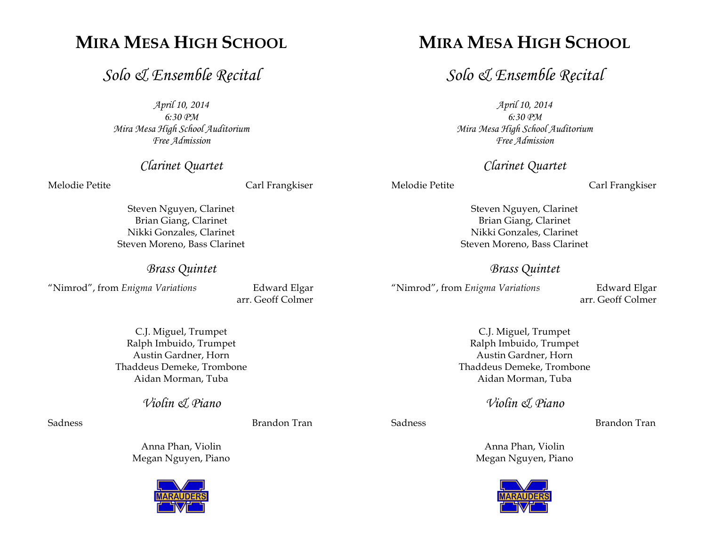# **MIRA MESA HIGH SCHOOL**

# *Solo & Ensemble Recital*

*April 10, 2014 6:30 PM Mira Mesa High School Auditorium Free Admission*

*Clarinet Quartet*

Melodie Petite **Carl Frangkiser** 

Steven Nguyen, Clarinet Brian Giang, Clarinet Nikki Gonzales, Clarinet Steven Moreno, Bass Clarinet

*Brass Quintet*

"Nimrod", from *Enigma Variations* Edward Elgar

arr. Geoff Colmer

C.J. Miguel, Trumpet Ralph Imbuido, Trumpet Austin Gardner, Horn Thaddeus Demeke, Trombone Aidan Morman, Tuba

*Violin & Piano*

Sadness **Brandon Tran** 

Anna Phan, Violin Megan Nguyen, Piano



# **MIRA MESA HIGH SCHOOL**

*Solo & Ensemble Recital*

*April 10, 2014 6:30 PM Mira Mesa High School Auditorium Free Admission*

*Clarinet Quartet*

Melodie Petite **Carl Frangkiser** 

Steven Nguyen, Clarinet Brian Giang, Clarinet Nikki Gonzales, Clarinet Steven Moreno, Bass Clarinet

#### *Brass Quintet*

"Nimrod", from *Enigma Variations* Edward Elgar

arr. Geoff Colmer

C.J. Miguel, Trumpet Ralph Imbuido, Trumpet Austin Gardner, Horn Thaddeus Demeke, Trombone Aidan Morman, Tuba

*Violin & Piano*

Sadness Brandon Tran

Anna Phan, Violin Megan Nguyen, Piano